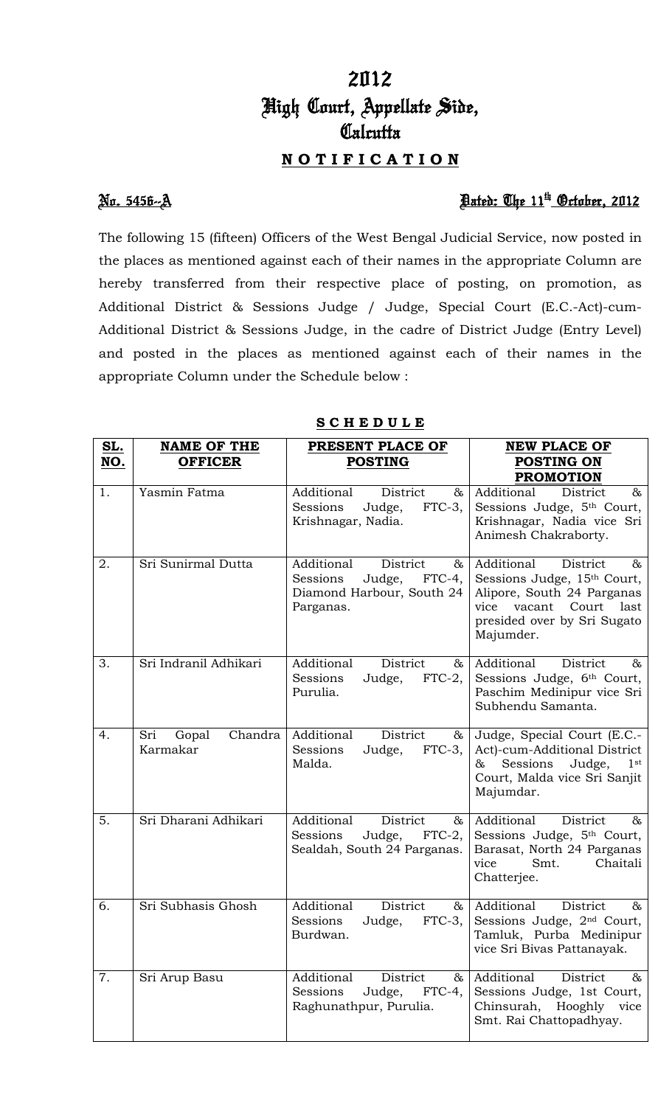# 2012 High Court, Appellate Side, **Calcutta N O T I F I C A T I O N**

## No. 5456--A Dated: The 11th October, 2012

The following 15 (fifteen) Officers of the West Bengal Judicial Service, now posted in the places as mentioned against each of their names in the appropriate Column are hereby transferred from their respective place of posting, on promotion, as Additional District & Sessions Judge / Judge, Special Court (E.C.-Act)-cum-Additional District & Sessions Judge, in the cadre of District Judge (Entry Level) and posted in the places as mentioned against each of their names in the appropriate Column under the Schedule below :

| SL. | <b>NAME OF THE</b>                  | PRESENT PLACE OF                                                                                      | <b>NEW PLACE OF</b>                                                                                                                                            |
|-----|-------------------------------------|-------------------------------------------------------------------------------------------------------|----------------------------------------------------------------------------------------------------------------------------------------------------------------|
| NO. | <b>OFFICER</b>                      | <b>POSTING</b>                                                                                        | <b>POSTING ON</b>                                                                                                                                              |
|     |                                     |                                                                                                       | <b>PROMOTION</b>                                                                                                                                               |
| 1.  | Yasmin Fatma                        | Additional<br>District<br>&<br>$FTC-3$ ,<br>Sessions<br>Judge,<br>Krishnagar, Nadia.                  | Additional<br>$\infty$<br>District<br>Sessions Judge, 5th Court,<br>Krishnagar, Nadia vice Sri<br>Animesh Chakraborty.                                         |
| 2.  | Sri Sunirmal Dutta                  | Additional<br>District<br>&<br>FTC-4,<br>Sessions<br>Judge,<br>Diamond Harbour, South 24<br>Parganas. | Additional<br>District<br>&<br>Sessions Judge, 15th Court,<br>Alipore, South 24 Parganas<br>vice vacant Court last<br>presided over by Sri Sugato<br>Majumder. |
| 3.  | Sri Indranil Adhikari               | Additional<br>District<br>85.<br>$FTC-2$ ,<br>Sessions<br>Judge,<br>Purulia.                          | Additional<br>District<br>85<br>Sessions Judge, 6th Court,<br>Paschim Medinipur vice Sri<br>Subhendu Samanta.                                                  |
| 4.  | Sri<br>Chandra<br>Gopal<br>Karmakar | Additional<br>District<br>$\&$ l<br>Sessions<br>Judge,<br>$FTC-3$ ,<br>Malda.                         | Judge, Special Court (E.C.-<br>Act)-cum-Additional District<br>Sessions<br>Judge,<br>$1$ st<br>&<br>Court, Malda vice Sri Sanjit<br>Majumdar.                  |
| 5.  | Sri Dharani Adhikari                | Additional<br>District<br>&<br>Sessions<br>Judge, FTC-2,<br>Sealdah, South 24 Parganas.               | Additional<br>District<br>&<br>Sessions Judge, 5th Court,<br>Barasat, North 24 Parganas<br>Smt.<br>Chaitali<br>vice<br>Chatterjee.                             |
| 6.  | Sri Subhasis Ghosh                  | Additional<br>District<br>$\&$<br>Sessions<br>Judge,<br>$FTC-3,$<br>Burdwan.                          | Additional<br>District<br>&<br>Sessions Judge, 2 <sup>nd</sup> Court,<br>Tamluk, Purba Medinipur<br>vice Sri Bivas Pattanayak.                                 |
| 7.  | Sri Arup Basu                       | Additional<br>District<br>&<br>Sessions<br>$FTC-4,$<br>Judge,<br>Raghunathpur, Purulia.               | Additional<br>District<br>&<br>Sessions Judge, 1st Court,<br>Chinsurah, Hooghly<br>vice<br>Smt. Rai Chattopadhyay.                                             |

### **S C H E D U L E**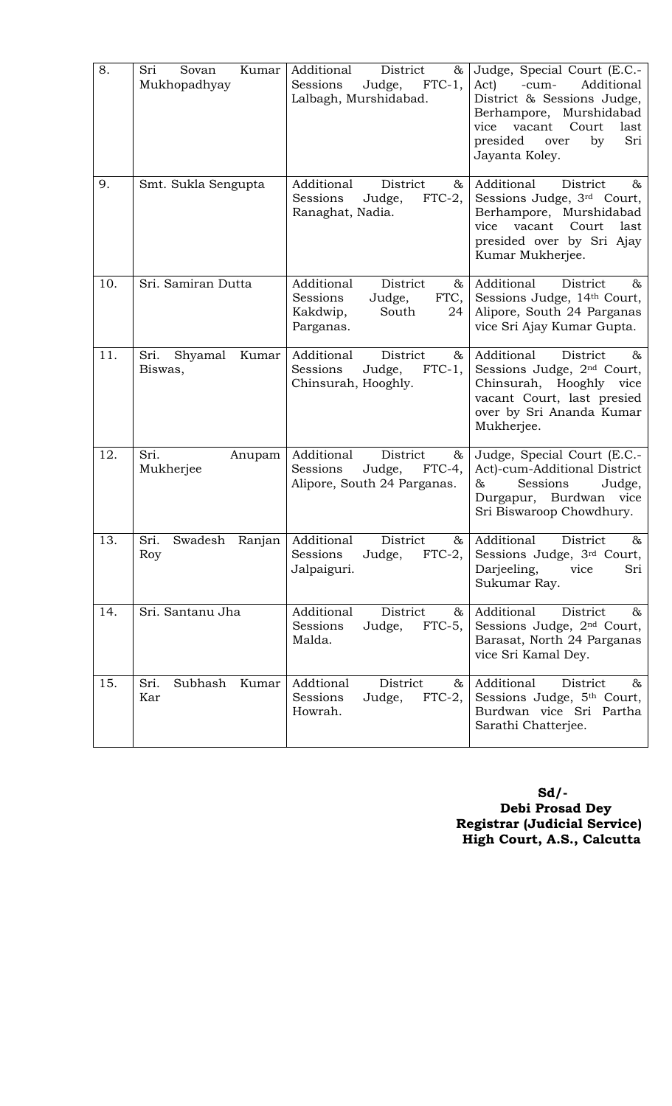| 8.  | Sri<br>Kumar<br>Sovan<br>Mukhopadhyay | Additional<br>District<br>&<br>Sessions<br>Judge,<br>$FTC-1$ ,<br>Lalbagh, Murshidabad.           | Judge, Special Court (E.C.-<br>Act)<br>Additional<br>-cum-<br>District & Sessions Judge,<br>Berhampore,<br>Murshidabad<br>Court<br>vacant<br>last<br>vice<br>presided<br>Sri<br>over<br>by<br>Jayanta Koley. |
|-----|---------------------------------------|---------------------------------------------------------------------------------------------------|--------------------------------------------------------------------------------------------------------------------------------------------------------------------------------------------------------------|
| 9.  | Smt. Sukla Sengupta                   | Additional<br>District<br>&<br>Sessions<br>Judge,<br>$FTC-2$ ,<br>Ranaghat, Nadia.                | Additional<br>District<br>&<br>Sessions Judge, 3rd Court,<br>Berhampore, Murshidabad<br>vacant Court<br>vice<br>last<br>presided over by Sri Ajay<br>Kumar Mukherjee.                                        |
| 10. | Sri. Samiran Dutta                    | Additional<br>District<br>&<br>Sessions<br>Judge,<br>FTC,<br>South<br>Kakdwip,<br>24<br>Parganas. | Additional<br>District<br>&<br>Sessions Judge, 14th Court,<br>Alipore, South 24 Parganas<br>vice Sri Ajay Kumar Gupta.                                                                                       |
| 11. | Kumar<br>Sri.<br>Shyamal<br>Biswas,   | Additional<br>District<br>$\&$<br>Sessions<br>$FTC-1$ ,<br>Judge,<br>Chinsurah, Hooghly.          | Additional<br>District<br>$\&$<br>Sessions Judge, 2 <sup>nd</sup> Court,<br>Chinsurah,<br>Hooghly<br>vice<br>vacant Court, last presied<br>over by Sri Ananda Kumar<br>Mukherjee.                            |
| 12. | Sri.<br>Anupam<br>Mukherjee           | Additional<br>District<br>&<br>Sessions<br>Judge,<br>$FTC-4$ ,<br>Alipore, South 24 Parganas.     | Judge, Special Court (E.C.-<br>Act)-cum-Additional District<br>Sessions<br>Judge,<br>&<br>Durgapur, Burdwan vice<br>Sri Biswaroop Chowdhury.                                                                 |
| 13. | Sri.<br>Swadesh<br>Ranjan<br>Roy      | Additional<br>District<br>&<br>Sessions<br>Judge,<br>$FTC-2$ ,<br>Jalpaiguri.                     | Additional<br>District<br>&<br>Sessions Judge, 3rd Court,<br>Darjeeling,<br>Sri<br>vice<br>Sukumar Ray.                                                                                                      |
| 14. | Sri. Santanu Jha                      | District<br>Additional<br>$\&$<br>$FTC-5,$<br>Sessions<br>Judge,<br>Malda.                        | Additional<br>District<br>$\&$<br>Sessions Judge, 2 <sup>nd</sup> Court,<br>Barasat, North 24 Parganas<br>vice Sri Kamal Dey.                                                                                |
| 15. | Sri.<br>Subhash<br>Kumar<br>Kar       | Addtional<br>District<br>&<br>Sessions<br>Judge,<br>$FTC-2$ ,<br>Howrah.                          | Additional<br>District<br>&<br>Sessions Judge, 5th Court,<br>Burdwan vice Sri Partha<br>Sarathi Chatterjee.                                                                                                  |

 **Sd/- Debi Prosad Dey Registrar (Judicial Service) High Court, A.S., Calcutta**